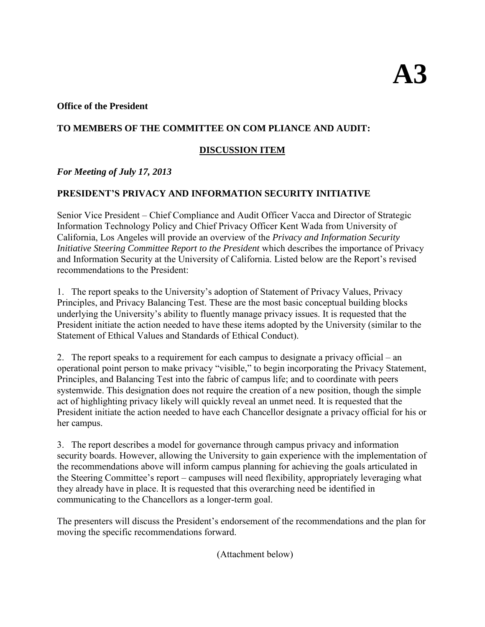#### **Office of the President**

### **TO MEMBERS OF THE COMMITTEE ON COM PLIANCE AND AUDIT:**

## **DISCUSSION ITEM**

### *For Meeting of July 17, 2013*

### **PRESIDENT'S PRIVACY AND INFORMATION SECURITY INITIATIVE**

Senior Vice President – Chief Compliance and Audit Officer Vacca and Director of Strategic Information Technology Policy and Chief Privacy Officer Kent Wada from University of California, Los Angeles will provide an overview of the *Privacy and Information Security Initiative Steering Committee Report to the President* which describes the importance of Privacy and Information Security at the University of California. Listed below are the Report's revised recommendations to the President:

1. The report speaks to the University's adoption of Statement of Privacy Values, Privacy Principles, and Privacy Balancing Test. These are the most basic conceptual building blocks underlying the University's ability to fluently manage privacy issues. It is requested that the President initiate the action needed to have these items adopted by the University (similar to the Statement of Ethical Values and Standards of Ethical Conduct).

2.The report speaks to a requirement for each campus to designate a privacy official – an operational point person to make privacy "visible," to begin incorporating the Privacy Statement, Principles, and Balancing Test into the fabric of campus life; and to coordinate with peers systemwide. This designation does not require the creation of a new position, though the simple act of highlighting privacy likely will quickly reveal an unmet need. It is requested that the President initiate the action needed to have each Chancellor designate a privacy official for his or her campus.

3. The report describes a model for governance through campus privacy and information security boards. However, allowing the University to gain experience with the implementation of the recommendations above will inform campus planning for achieving the goals articulated in the Steering Committee's report – campuses will need flexibility, appropriately leveraging what they already have in place. It is requested that this overarching need be identified in communicating to the Chancellors as a longer-term goal.

The presenters will discuss the President's endorsement of the recommendations and the plan for moving the specific recommendations forward.

(Attachment below)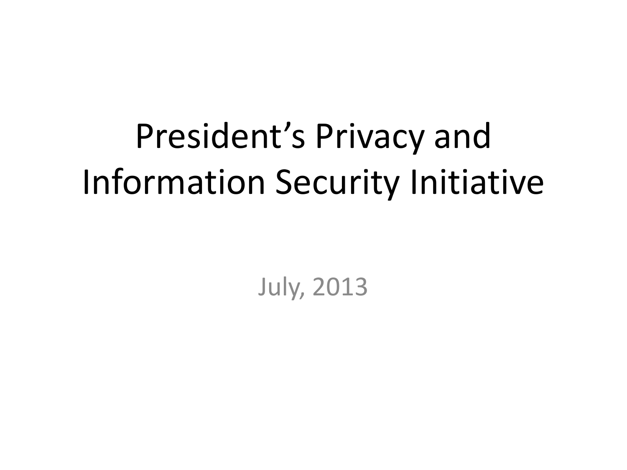# President's Privacy and Information Security Initiative

July, 2013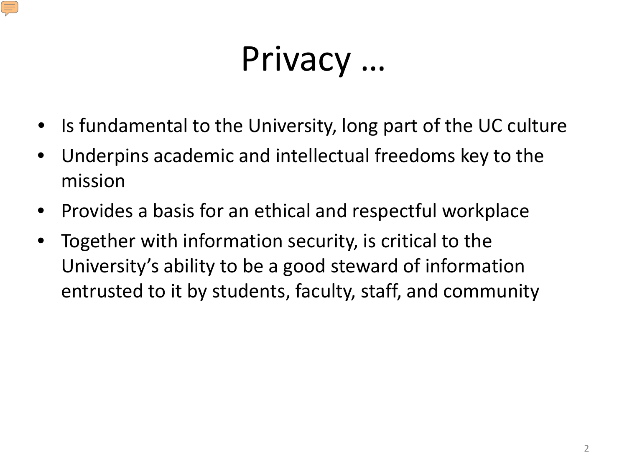## Privacy …

- Is fundamental to the University, long part of the UC culture
- Underpins academic and intellectual freedoms key to the mission
- Provides a basis for an ethical and respectful workplace
- Together with information security, is critical to the University's ability to be a good steward of information entrusted to it by students, faculty, staff, and community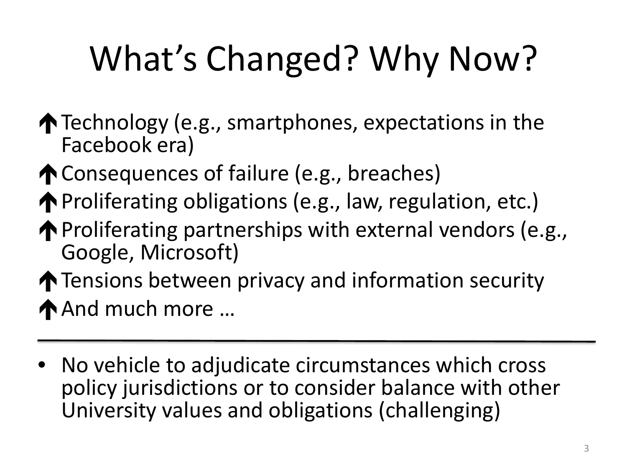# What's Changed? Why Now?

- $\bigwedge$  Technology (e.g., smartphones, expectations in the Facebook era)
- ↑ Consequences of failure (e.g., breaches)
- ◆ Proliferating obligations (e.g., law, regulation, etc.)
- $\bigwedge$  Proliferating partnerships with external vendors (e.g., Google, Microsoft)
- **The Tensions between privacy and information security** ◆ And much more ...
- No vehicle to adjudicate circumstances which cross policy jurisdictions or to consider balance with other University values and obligations (challenging)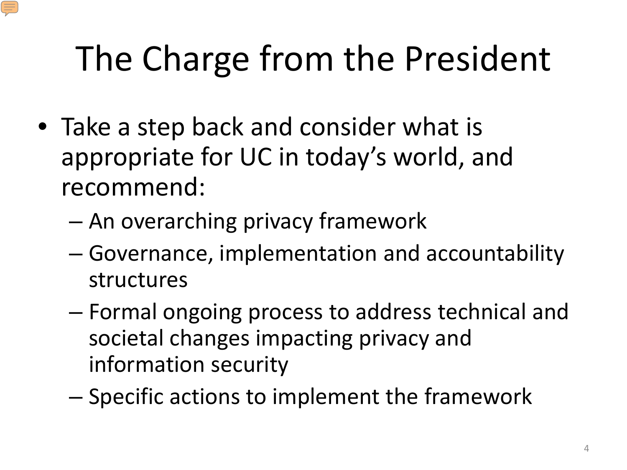# The Charge from the President

- Take a step back and consider what is appropriate for UC in today's world, and recommend:
	- An overarching privacy framework
	- Governance, implementation and accountability structures
	- Formal ongoing process to address technical and societal changes impacting privacy and information security
	- Specific actions to implement the framework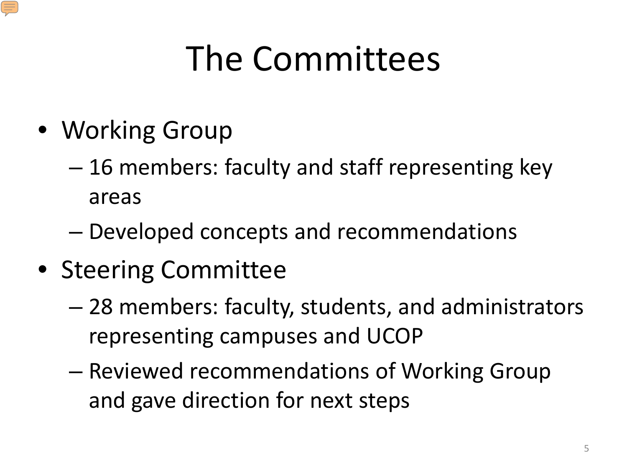## The Committees

- Working Group
	- 16 members: faculty and staff representing key areas
	- Developed concepts and recommendations
- Steering Committee
	- 28 members: faculty, students, and administrators representing campuses and UCOP
	- Reviewed recommendations of Working Group and gave direction for next steps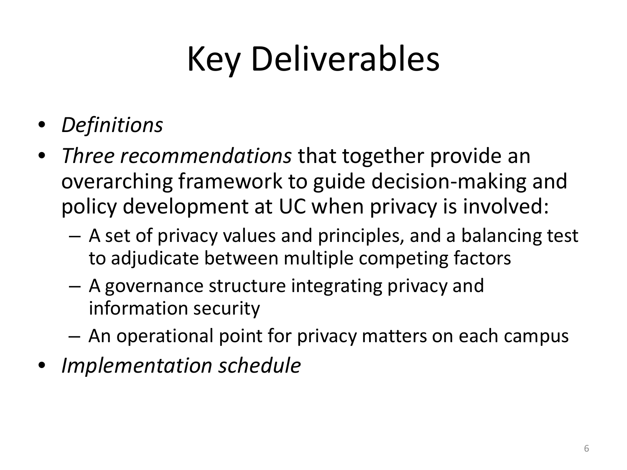# Key Deliverables

- *Definitions*
- *Three recommendations* that together provide an overarching framework to guide decision-making and policy development at UC when privacy is involved:
	- A set of privacy values and principles, and a balancing test to adjudicate between multiple competing factors
	- A governance structure integrating privacy and information security
	- An operational point for privacy matters on each campus
- *Implementation schedule*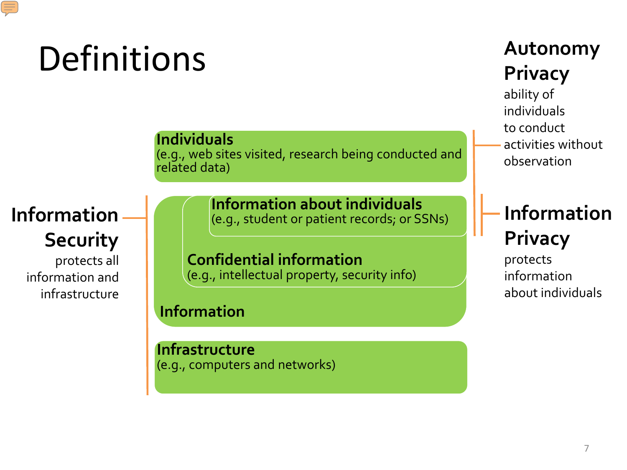## Definitions

**Individuals** (e.g., web sites visited, research being conducted and related data)

## **Information Security**

protects all information and infrastructure **Information about individuals**  (e.g., student or patient records; or SSNs)

**Confidential information**  (e.g., intellectual property, security info)

**Information**

**Infrastructure**  (e.g., computers and networks)

## **Autonomy Privacy**

ability of individuals to conduct activities without observation

## **Information Privacy**

protects information about individuals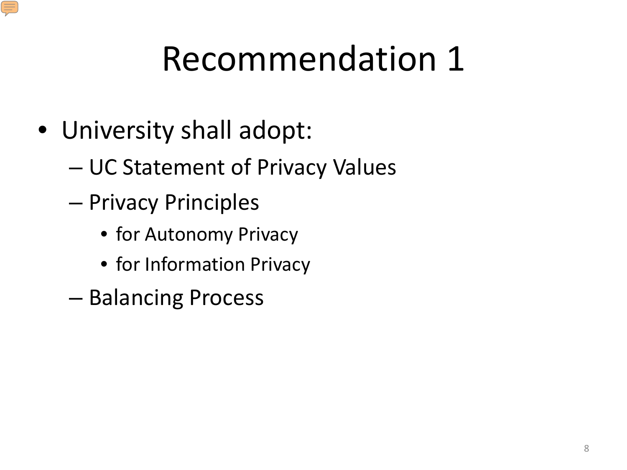## Recommendation 1

- University shall adopt:
	- UC Statement of Privacy Values
	- Privacy Principles
		- for Autonomy Privacy
		- for Information Privacy
	- Balancing Process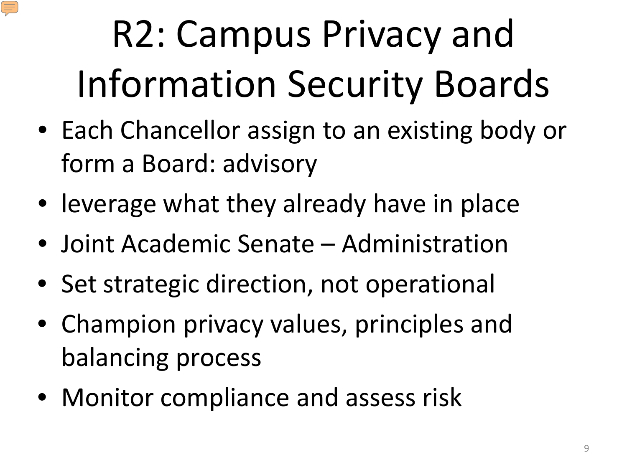# R2: Campus Privacy and Information Security Boards

- Each Chancellor assign to an existing body or form a Board: advisory
- leverage what they already have in place
- Joint Academic Senate Administration
- Set strategic direction, not operational
- Champion privacy values, principles and balancing process
- Monitor compliance and assess risk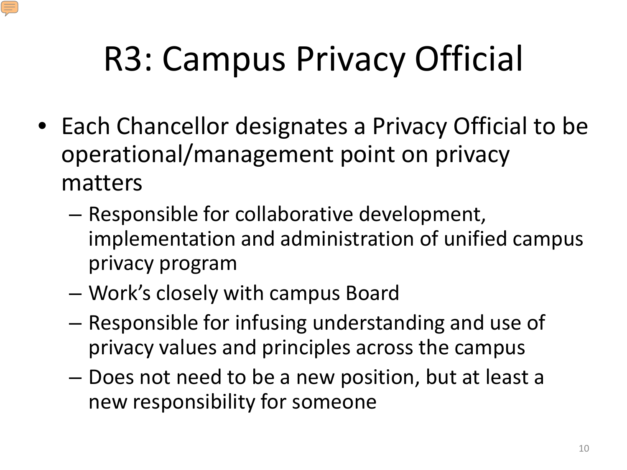# R3: Campus Privacy Official

- Each Chancellor designates a Privacy Official to be operational/management point on privacy matters
	- Responsible for collaborative development, implementation and administration of unified campus privacy program
	- Work's closely with campus Board
	- Responsible for infusing understanding and use of privacy values and principles across the campus
	- Does not need to be a new position, but at least a new responsibility for someone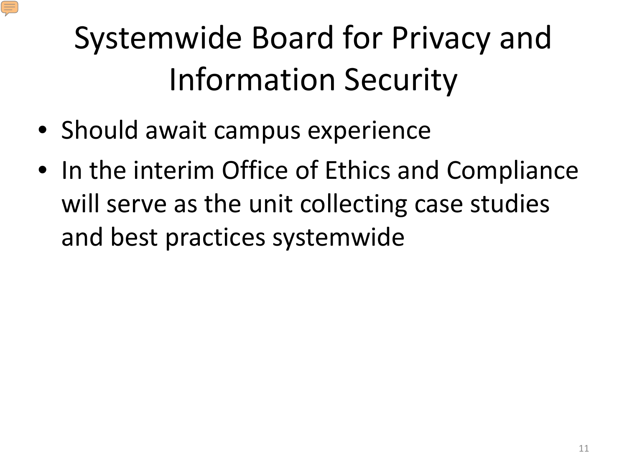## Systemwide Board for Privacy and Information Security

- Should await campus experience
- In the interim Office of Ethics and Compliance will serve as the unit collecting case studies and best practices systemwide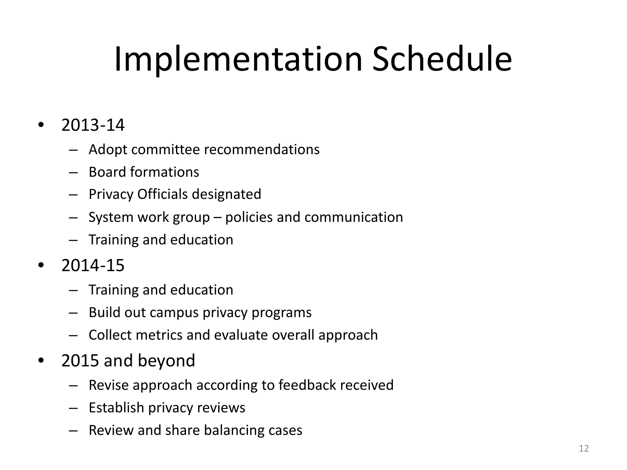# Implementation Schedule

## • 2013-14

- Adopt committee recommendations
- Board formations
- Privacy Officials designated
- System work group policies and communication
- Training and education
- $2014 15$ 
	- Training and education
	- Build out campus privacy programs
	- Collect metrics and evaluate overall approach
- 2015 and beyond
	- Revise approach according to feedback received
	- Establish privacy reviews
	- Review and share balancing cases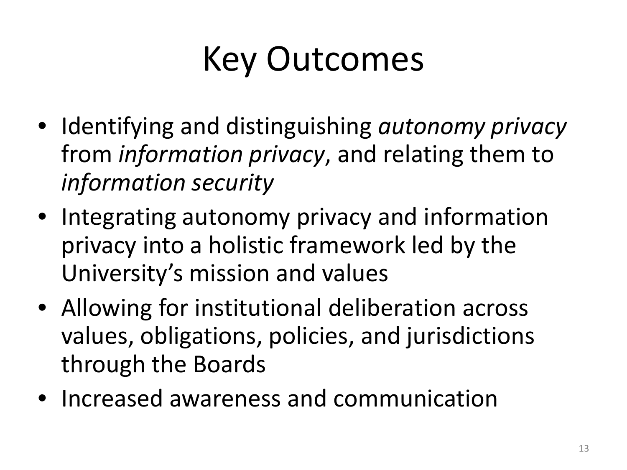## Key Outcomes

- Identifying and distinguishing *autonomy privacy* from *information privacy*, and relating them to *information security*
- Integrating autonomy privacy and information privacy into a holistic framework led by the University's mission and values
- Allowing for institutional deliberation across values, obligations, policies, and jurisdictions through the Boards
- Increased awareness and communication